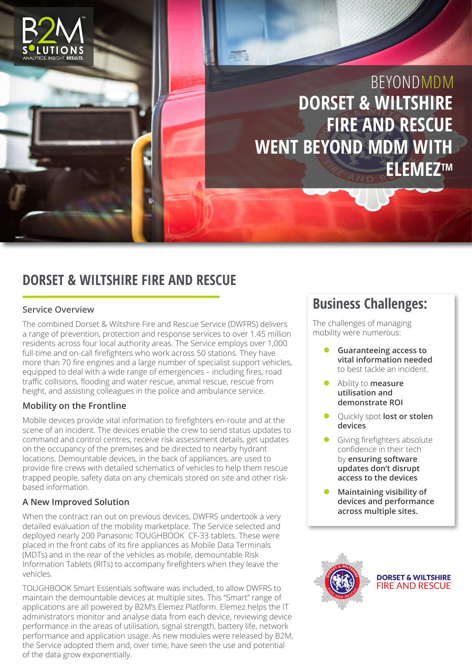

## **DORSET & WILTSHIRE FIRE AND RESCUE**

#### **Service Overview**

The combined Dorset & Wiltshire Fire and Rescue Service (DWFRS) delivers a range of prevention, protection and response services to over 1.45 million residents across four local authority areas. The Service employs over 1,000 full-time and on-call firefighters who work across 50 stations. They have more than 70 fire engines and a large number of specialist support vehicles, equipped to deal with a wide range of emergencies – including fires, road traffic collisions, flooding and water rescue, animal rescue, rescue from height, and assisting colleagues in the police and ambulance service.

### **Mobility on the Frontline**

Mobile devices provide vital information to firefighters en-route and at the scene of an incident. The devices enable the crew to send status updates to command and control centres, receive risk assessment details, get updates on the occupancy of the premises and be directed to nearby hydrant locations. Demountable devices, in the back of appliances, are used to provide fire crews with detailed schematics of vehicles to help them rescue trapped people, safety data on any chemicals stored on site and other riskbased information.

### **A New Improved Solution**

When the contract ran out on previous devices, DWFRS undertook a very detailed evaluation of the mobility marketplace. The Service selected and deployed nearly 200 Panasonic TOUGHBOOK CF-33 tablets. These were placed in the front cabs of its fire appliances as Mobile Data Terminals (MDTs) and in the rear of the vehicles as mobile, demountable Risk Information Tablets (RITs) to accompany firefighters when they leave the vehicles.

TOUGHBOOK Smart Essentials software was included, to allow DWFRS to maintain the demountable devices at multiple sites. This "Smart" range of applications are all powered by B2M's Elemez Platform. Elemez helps the IT administrators monitor and analyse data from each device, reviewing device performance in the areas of utilisation, signal strength, battery life, network performance and application usage. As new modules were released by B2M, the Service adopted them and, over time, have seen the use and potential of the data grow exponentially.

## **Business Challenges:**

The challenges of managing mobility were numerous:

- z **Guaranteeing access to vital information needed**  to best tackle an incident.
- z Ability to **measure utilisation and demonstrate ROI**
- **Quickly spot lost or stolen devices**
- Giving firefighters absolute confidence in their tech by **ensuring software updates don't disrupt access to the devices**
- z **Maintaining visibility of devices and performance across multiple sites.**